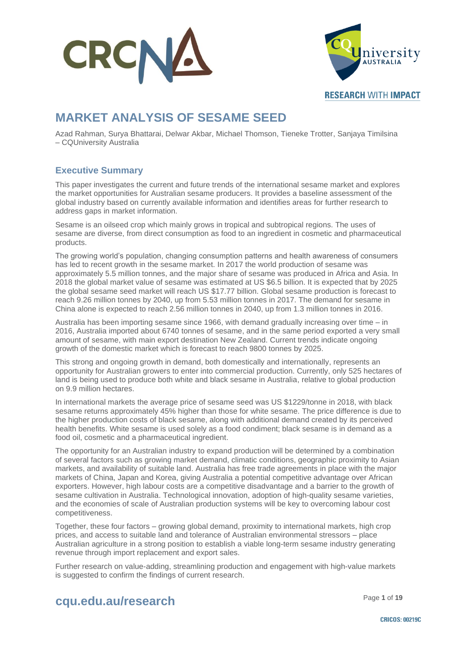



**RESEARCH WITH IMPACT** 

### **MARKET ANALYSIS OF SESAME SEED**

Azad Rahman, Surya Bhattarai, Delwar Akbar, Michael Thomson, Tieneke Trotter, Sanjaya Timilsina – CQUniversity Australia

### **Executive Summary**

This paper investigates the current and future trends of the international sesame market and explores the market opportunities for Australian sesame producers. It provides a baseline assessment of the global industry based on currently available information and identifies areas for further research to address gaps in market information.

Sesame is an oilseed crop which mainly grows in tropical and subtropical regions. The uses of sesame are diverse, from direct consumption as food to an ingredient in cosmetic and pharmaceutical products.

The growing world's population, changing consumption patterns and health awareness of consumers has led to recent growth in the sesame market. In 2017 the world production of sesame was approximately 5.5 million tonnes, and the major share of sesame was produced in Africa and Asia. In 2018 the global market value of sesame was estimated at US \$6.5 billion. It is expected that by 2025 the global sesame seed market will reach US \$17.77 billion. Global sesame production is forecast to reach 9.26 million tonnes by 2040, up from 5.53 million tonnes in 2017. The demand for sesame in China alone is expected to reach 2.56 million tonnes in 2040, up from 1.3 million tonnes in 2016.

Australia has been importing sesame since 1966, with demand gradually increasing over time – in 2016, Australia imported about 6740 tonnes of sesame, and in the same period exported a very small amount of sesame, with main export destination New Zealand. Current trends indicate ongoing growth of the domestic market which is forecast to reach 9800 tonnes by 2025.

This strong and ongoing growth in demand, both domestically and internationally, represents an opportunity for Australian growers to enter into commercial production. Currently, only 525 hectares of land is being used to produce both white and black sesame in Australia, relative to global production on 9.9 million hectares.

In international markets the average price of sesame seed was US \$1229/tonne in 2018, with black sesame returns approximately 45% higher than those for white sesame. The price difference is due to the higher production costs of black sesame, along with additional demand created by its perceived health benefits. White sesame is used solely as a food condiment; black sesame is in demand as a food oil, cosmetic and a pharmaceutical ingredient.

The opportunity for an Australian industry to expand production will be determined by a combination of several factors such as growing market demand, climatic conditions, geographic proximity to Asian markets, and availability of suitable land. Australia has free trade agreements in place with the major markets of China, Japan and Korea, giving Australia a potential competitive advantage over African exporters. However, high labour costs are a competitive disadvantage and a barrier to the growth of sesame cultivation in Australia. Technological innovation, adoption of high-quality sesame varieties, and the economies of scale of Australian production systems will be key to overcoming labour cost competitiveness.

Together, these four factors – growing global demand, proximity to international markets, high crop prices, and access to suitable land and tolerance of Australian environmental stressors – place Australian agriculture in a strong position to establish a viable long-term sesame industry generating revenue through import replacement and export sales.

Further research on value-adding, streamlining production and engagement with high-value markets is suggested to confirm the findings of current research.

### Page **<sup>1</sup>** of **<sup>19</sup> cqu.edu.au/research**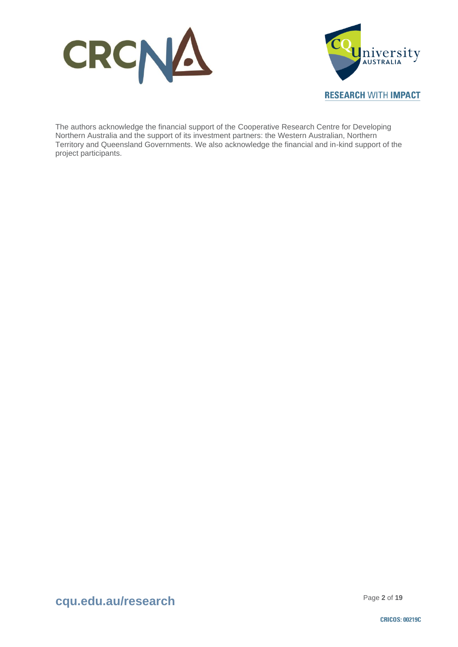



The authors acknowledge the financial support of the Cooperative Research Centre for Developing Northern Australia and the support of its investment partners: the Western Australian, Northern Territory and Queensland Governments. We also acknowledge the financial and in-kind support of the project participants.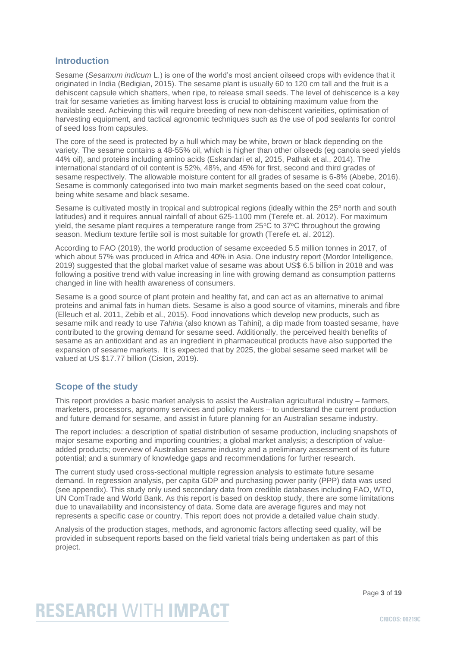### **Introduction**

Sesame (*Sesamum indicum* L.) is one of the world's most ancient oilseed crops with evidence that it originated in India (Bedigian, 2015). The sesame plant is usually 60 to 120 cm tall and the fruit is a dehiscent capsule which shatters, when ripe, to release small seeds. The level of dehiscence is a key trait for sesame varieties as limiting harvest loss is crucial to obtaining maximum value from the available seed. Achieving this will require breeding of new non-dehiscent varieities, optimisation of harvesting equipment, and tactical agronomic techniques such as the use of pod sealants for control of seed loss from capsules.

The core of the seed is protected by a hull which may be white, brown or black depending on the variety. The sesame contains a 48-55% oil, which is higher than other oilseeds (eg canola seed yields 44% oil), and proteins including amino acids (Eskandari et al, 2015, Pathak et al., 2014). The international standard of oil content is 52%, 48%, and 45% for first, second and third grades of sesame respectively. The allowable moisture content for all grades of sesame is 6-8% (Abebe, 2016). Sesame is commonly categorised into two main market segments based on the seed coat colour, being white sesame and black sesame.

Sesame is cultivated mostly in tropical and subtropical regions (ideally within the 25° north and south latitudes) and it requires annual rainfall of about 625-1100 mm (Terefe et. al. 2012). For maximum yield, the sesame plant requires a temperature range from  $25^{\circ}$ C to  $37^{\circ}$ C throughout the growing season. Medium texture fertile soil is most suitable for growth (Terefe et. al. 2012).

According to FAO (2019), the world production of sesame exceeded 5.5 million tonnes in 2017, of which about 57% was produced in Africa and 40% in Asia. One industry report (Mordor Intelligence, 2019) suggested that the global market value of sesame was about US\$ 6.5 billion in 2018 and was following a positive trend with value increasing in line with growing demand as consumption patterns changed in line with health awareness of consumers.

Sesame is a good source of plant protein and healthy fat, and can act as an alternative to animal proteins and animal fats in human diets. Sesame is also a good source of vitamins, minerals and fibre (Elleuch et al. 2011, Zebib et al., 2015). Food innovations which develop new products, such as sesame milk and ready to use *Tahina* (also known as Tahini)*,* a dip made from toasted sesame, have contributed to the growing demand for sesame seed. Additionally, the perceived health benefits of sesame as an antioxidant and as an ingredient in pharmaceutical products have also supported the expansion of sesame markets. It is expected that by 2025, the global sesame seed market will be valued at US \$17.77 billion (Cision, 2019).

### **Scope of the study**

This report provides a basic market analysis to assist the Australian agricultural industry – farmers, marketers, processors, agronomy services and policy makers – to understand the current production and future demand for sesame, and assist in future planning for an Australian sesame industry.

The report includes: a description of spatial distribution of sesame production, including snapshots of major sesame exporting and importing countries; a global market analysis; a description of valueadded products; overview of Australian sesame industry and a preliminary assessment of its future potential; and a summary of knowledge gaps and recommendations for further research.

The current study used cross-sectional multiple regression analysis to estimate future sesame demand. In regression analysis, per capita GDP and purchasing power parity (PPP) data was used (see appendix). This study only used secondary data from credible databases including FAO, WTO, UN ComTrade and World Bank. As this report is based on desktop study, there are some limitations due to unavailability and inconsistency of data. Some data are average figures and may not represents a specific case or country. This report does not provide a detailed value chain study.

Analysis of the production stages, methods, and agronomic factors affecting seed quality, will be provided in subsequent reports based on the field varietal trials being undertaken as part of this project.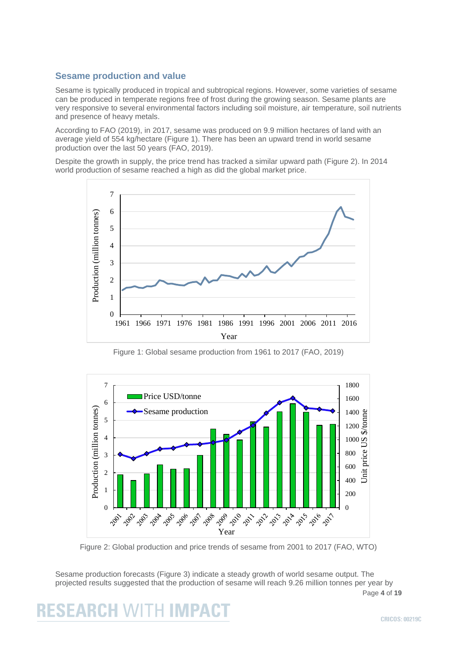### **Sesame production and value**

Sesame is typically produced in tropical and subtropical regions. However, some varieties of sesame can be produced in temperate regions free of frost during the growing season. Sesame plants are very responsive to several environmental factors including soil moisture, air temperature, soil nutrients and presence of heavy metals.

According to FAO (2019), in 2017, sesame was produced on 9.9 million hectares of land with an average yield of 554 kg/hectare (Figure 1). There has been an upward trend in world sesame production over the last 50 years (FAO, 2019).

Despite the growth in supply, the price trend has tracked a similar upward path (Figure 2). In 2014 world production of sesame reached a high as did the global market price.



Figure 1: Global sesame production from 1961 to 2017 (FAO, 2019)



Figure 2: Global production and price trends of sesame from 2001 to 2017 (FAO, WTO)

Page **4** of **19** Sesame production forecasts (Figure 3) indicate a steady growth of world sesame output. The projected results suggested that the production of sesame will reach 9.26 million tonnes per year by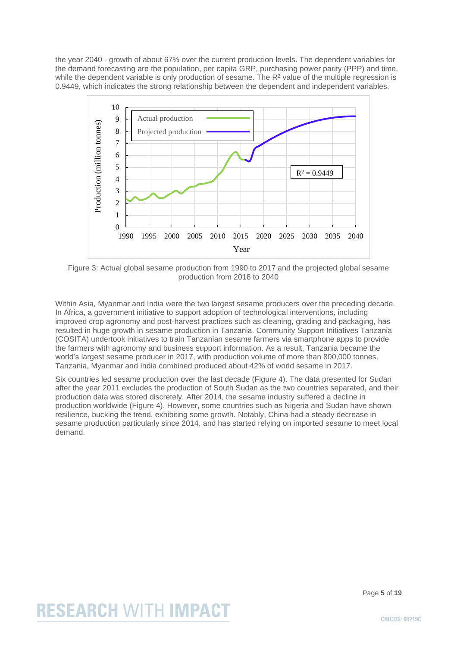the year 2040 - growth of about 67% over the current production levels. The dependent variables for the demand forecasting are the population, per capita GRP, purchasing power parity (PPP) and time, while the dependent variable is only production of sesame. The R<sup>2</sup> value of the multiple regression is 0.9449, which indicates the strong relationship between the dependent and independent variables.



Figure 3: Actual global sesame production from 1990 to 2017 and the projected global sesame production from 2018 to 2040

Within Asia, Myanmar and India were the two largest sesame producers over the preceding decade. In Africa, a government initiative to support adoption of technological interventions, including improved crop agronomy and post-harvest practices such as cleaning, grading and packaging, has resulted in huge growth in sesame production in Tanzania. Community Support Initiatives Tanzania (COSITA) undertook initiatives to train Tanzanian sesame farmers via smartphone apps to provide the farmers with agronomy and business support information. As a result, Tanzania became the world's largest sesame producer in 2017, with production volume of more than 800,000 tonnes. Tanzania, Myanmar and India combined produced about 42% of world sesame in 2017.

Six countries led sesame production over the last decade (Figure 4). The data presented for Sudan after the year 2011 excludes the production of South Sudan as the two countries separated, and their production data was stored discretely. After 2014, the sesame industry suffered a decline in production worldwide (Figure 4). However, some countries such as Nigeria and Sudan have shown resilience, bucking the trend, exhibiting some growth. Notably, China had a steady decrease in sesame production particularly since 2014, and has started relying on imported sesame to meet local demand.

Page **5** of **19**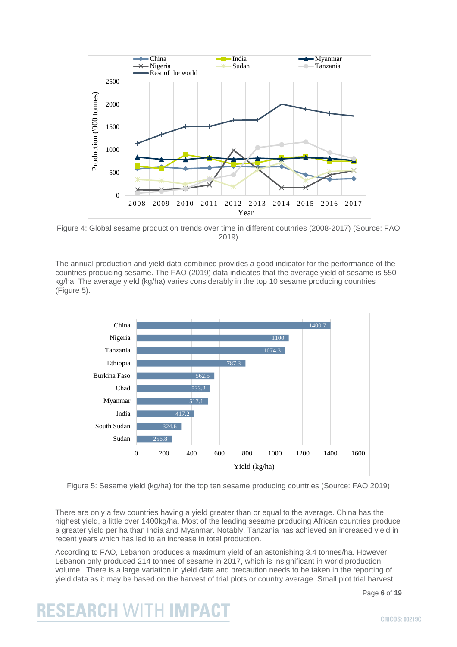

Figure 4: Global sesame production trends over time in different coutnries (2008-2017) (Source: FAO 2019)

The annual production and yield data combined provides a good indicator for the performance of the countries producing sesame. The FAO (2019) data indicates that the average yield of sesame is 550 kg/ha. The average yield (kg/ha) varies considerably in the top 10 sesame producing countries (Figure 5).



Figure 5: Sesame yield (kg/ha) for the top ten sesame producing countries (Source: FAO 2019)

There are only a few countries having a yield greater than or equal to the average. China has the highest yield, a little over 1400kg/ha. Most of the leading sesame producing African countries produce a greater yield per ha than India and Myanmar. Notably, Tanzania has achieved an increased yield in recent years which has led to an increase in total production.

According to FAO, Lebanon produces a maximum yield of an astonishing 3.4 tonnes/ha. However, Lebanon only produced 214 tonnes of sesame in 2017, which is insignificant in world production volume. There is a large variation in yield data and precaution needs to be taken in the reporting of yield data as it may be based on the harvest of trial plots or country average. Small plot trial harvest

Page **6** of **19**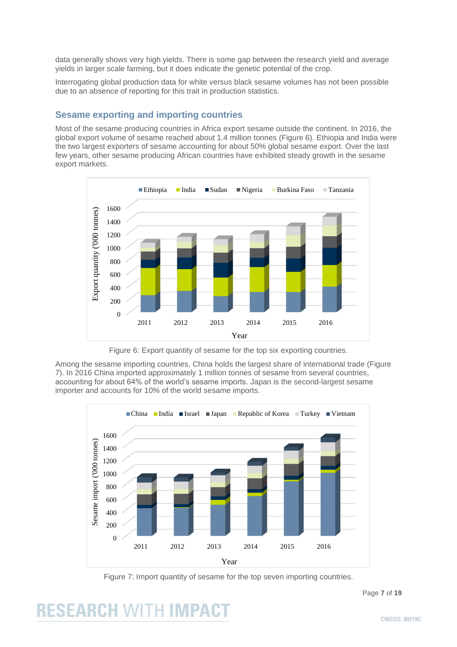data generally shows very high yields. There is some gap between the research yield and average yields in larger scale farming, but it does indicate the genetic potential of the crop.

Interrogating global production data for white versus black sesame volumes has not been possible due to an absence of reporting for this trait in production statistics.

### **Sesame exporting and importing countries**

Most of the sesame producing countries in Africa export sesame outside the continent. In 2016, the global export volume of sesame reached about 1.4 million tonnes (Figure 6). Ethiopia and India were the two largest exporters of sesame accounting for about 50% global sesame export. Over the last few years, other sesame producing African countries have exhibited steady growth in the sesame export markets.



Figure 6: Export quantity of sesame for the top six exporting countries.

Among the sesame importing countries, China holds the largest share of international trade (Figure 7). In 2016 China imported approximately 1 million tonnes of sesame from several countries, accounting for about 64% of the world's sesame imports. Japan is the second-largest sesame importer and accounts for 10% of the world sesame imports.



Figure 7: Import quantity of sesame for the top seven importing countries.

# **RESEARCH WITH IMPACT**

Page **7** of **19**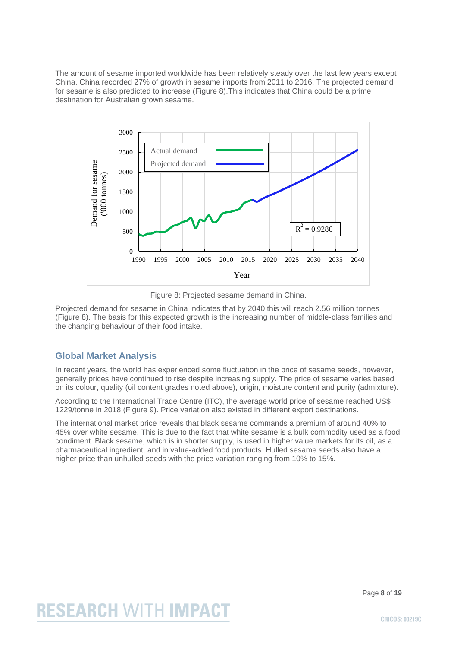The amount of sesame imported worldwide has been relatively steady over the last few years except China. China recorded 27% of growth in sesame imports from 2011 to 2016. The projected demand for sesame is also predicted to increase (Figure 8).This indicates that China could be a prime destination for Australian grown sesame.



Figure 8: Projected sesame demand in China.

Projected demand for sesame in China indicates that by 2040 this will reach 2.56 million tonnes (Figure 8). The basis for this expected growth is the increasing number of middle-class families and the changing behaviour of their food intake.

### **Global Market Analysis**

In recent years, the world has experienced some fluctuation in the price of sesame seeds, however, generally prices have continued to rise despite increasing supply. The price of sesame varies based on its colour, quality (oil content grades noted above), origin, moisture content and purity (admixture).

According to the International Trade Centre (ITC), the average world price of sesame reached US\$ 1229/tonne in 2018 (Figure 9). Price variation also existed in different export destinations.

The international market price reveals that black sesame commands a premium of around 40% to 45% over white sesame. This is due to the fact that white sesame is a bulk commodity used as a food condiment. Black sesame, which is in shorter supply, is used in higher value markets for its oil, as a pharmaceutical ingredient, and in value-added food products. Hulled sesame seeds also have a higher price than unhulled seeds with the price variation ranging from 10% to 15%.

Page **8** of **19**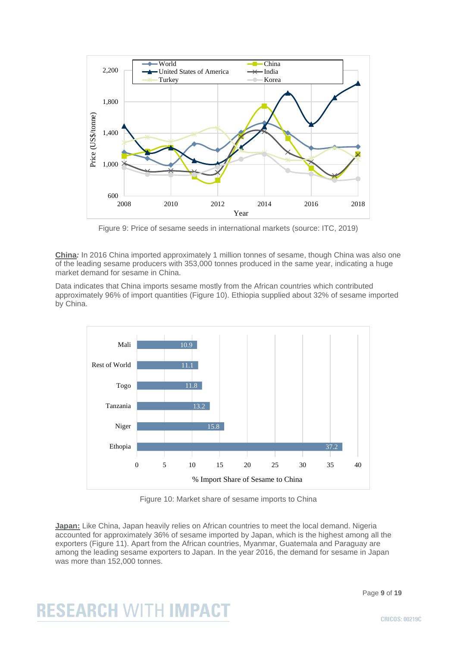

Figure 9: Price of sesame seeds in international markets (source: ITC, 2019)

**China***:* In 2016 China imported approximately 1 million tonnes of sesame, though China was also one of the leading sesame producers with 353,000 tonnes produced in the same year, indicating a huge market demand for sesame in China.

Data indicates that China imports sesame mostly from the African countries which contributed approximately 96% of import quantities (Figure 10). Ethiopia supplied about 32% of sesame imported by China.



Figure 10: Market share of sesame imports to China

**Japan:** Like China, Japan heavily relies on African countries to meet the local demand. Nigeria accounted for approximately 36% of sesame imported by Japan, which is the highest among all the exporters (Figure 11). Apart from the African countries, Myanmar, Guatemala and Paraguay are among the leading sesame exporters to Japan. In the year 2016, the demand for sesame in Japan was more than 152,000 tonnes.

#### Page **9** of **19**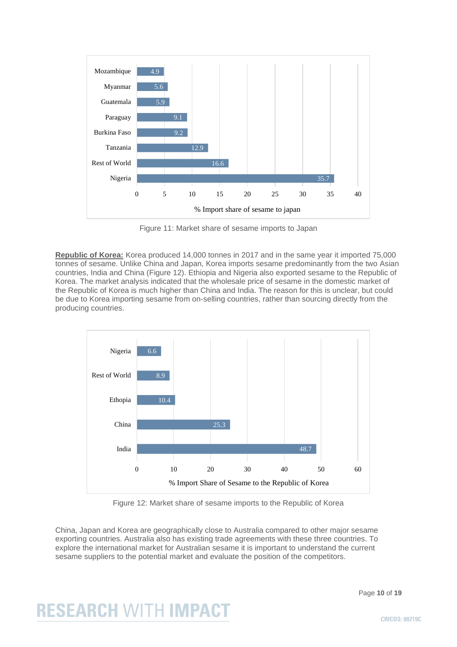

Figure 11: Market share of sesame imports to Japan

**Republic of Korea:** Korea produced 14,000 tonnes in 2017 and in the same year it imported 75,000 tonnes of sesame. Unlike China and Japan, Korea imports sesame predominantly from the two Asian countries, India and China (Figure 12). Ethiopia and Nigeria also exported sesame to the Republic of Korea. The market analysis indicated that the wholesale price of sesame in the domestic market of the Republic of Korea is much higher than China and India. The reason for this is unclear, but could be due to Korea importing sesame from on-selling countries, rather than sourcing directly from the producing countries.



Figure 12: Market share of sesame imports to the Republic of Korea

China, Japan and Korea are geographically close to Australia compared to other major sesame exporting countries. Australia also has existing trade agreements with these three countries. To explore the international market for Australian sesame it is important to understand the current sesame suppliers to the potential market and evaluate the position of the competitors.

Page **10** of **19**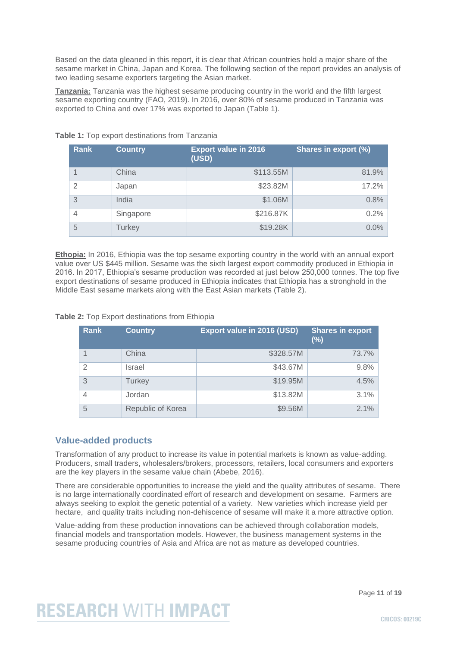Based on the data gleaned in this report, it is clear that African countries hold a major share of the sesame market in China, Japan and Korea. The following section of the report provides an analysis of two leading sesame exporters targeting the Asian market.

**Tanzania:** Tanzania was the highest sesame producing country in the world and the fifth largest sesame exporting country (FAO, 2019). In 2016, over 80% of sesame produced in Tanzania was exported to China and over 17% was exported to Japan (Table 1).

| <b>Rank</b> | <b>Country</b> | <b>Export value in 2016</b><br>(USD) | Shares in export (%) |
|-------------|----------------|--------------------------------------|----------------------|
| 4           | China          | \$113.55M                            | 81.9%                |
| 2           | Japan          | \$23.82M                             | 17.2%                |
| 3           | India          | \$1.06M                              | 0.8%                 |
| 4           | Singapore      | \$216.87K                            | 0.2%                 |
| 5           | <b>Turkey</b>  | \$19.28K                             | 0.0%                 |

#### **Table 1:** Top export destinations from Tanzania

**Ethopia:** In 2016, Ethiopia was the top sesame exporting country in the world with an annual export value over US \$445 million. Sesame was the sixth largest export commodity produced in Ethiopia in 2016. In 2017, Ethiopia's sesame production was recorded at just below 250,000 tonnes. The top five export destinations of sesame produced in Ethiopia indicates that Ethiopia has a stronghold in the Middle East sesame markets along with the East Asian markets (Table 2).

**Table 2:** Top Export destinations from Ethiopia

| <b>Rank</b> | <b>Country</b>    | <b>Export value in 2016 (USD)</b> | <b>Shares in export</b><br>$(\%)$ |
|-------------|-------------------|-----------------------------------|-----------------------------------|
|             | China             | \$328.57M                         | 73.7%                             |
| 2           | Israel            | \$43.67M                          | 9.8%                              |
| 3           | <b>Turkey</b>     | \$19.95M                          | 4.5%                              |
| 4           | Jordan            | \$13.82M                          | 3.1%                              |
| 5           | Republic of Korea | \$9.56M                           | 2.1%                              |

### **Value-added products**

Transformation of any product to increase its value in potential markets is known as value-adding. Producers, small traders, wholesalers/brokers, processors, retailers, local consumers and exporters are the key players in the sesame value chain (Abebe, 2016).

There are considerable opportunities to increase the yield and the quality attributes of sesame. There is no large internationally coordinated effort of research and development on sesame. Farmers are always seeking to exploit the genetic potential of a variety. New varieties which increase yield per hectare, and quality traits including non-dehiscence of sesame will make it a more attractive option.

Value-adding from these production innovations can be achieved through collaboration models, financial models and transportation models. However, the business management systems in the sesame producing countries of Asia and Africa are not as mature as developed countries.

Page **11** of **19**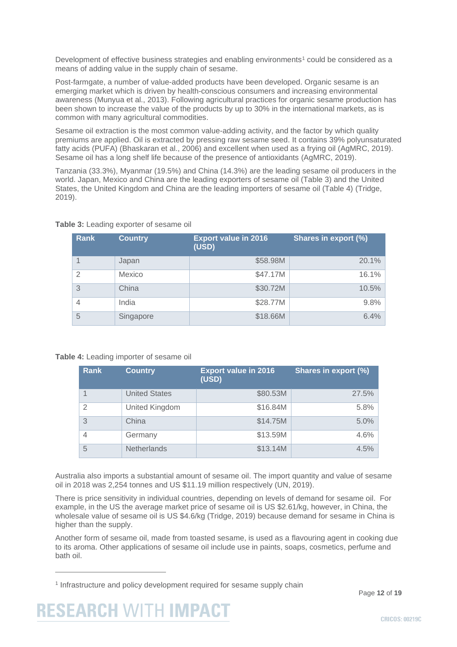Development of effective business strategies and enabling environments<sup>1</sup> could be considered as a means of adding value in the supply chain of sesame.

Post-farmgate, a number of value-added products have been developed. Organic sesame is an emerging market which is driven by health-conscious consumers and increasing environmental awareness (Munyua et al., 2013). Following agricultural practices for organic sesame production has been shown to increase the value of the products by up to 30% in the international markets, as is common with many agricultural commodities.

Sesame oil extraction is the most common value-adding activity, and the factor by which quality premiums are applied. Oil is extracted by pressing raw sesame seed. It contains 39% polyunsaturated fatty acids (PUFA) (Bhaskaran et al., 2006) and excellent when used as a frying oil (AgMRC, 2019). Sesame oil has a long shelf life because of the presence of antioxidants (AgMRC, 2019).

Tanzania (33.3%), Myanmar (19.5%) and China (14.3%) are the leading sesame oil producers in the world. Japan, Mexico and China are the leading exporters of sesame oil (Table 3) and the United States, the United Kingdom and China are the leading importers of sesame oil (Table 4) (Tridge, 2019).

| Rank | <b>Country</b> | <b>Export value in 2016</b><br>(USD) | Shares in export (%) |
|------|----------------|--------------------------------------|----------------------|
|      | Japan          | \$58.98M                             | 20.1%                |
| 2    | Mexico         | \$47.17M                             | 16.1%                |
| 3    | China          | \$30.72M                             | 10.5%                |
| 4    | India          | \$28.77M                             | 9.8%                 |
| 5    | Singapore      | \$18.66M                             | 6.4%                 |

#### **Table 3:** Leading exporter of sesame oil

#### **Table 4:** Leading importer of sesame oil

| <b>Rank</b>    | <b>Country</b>       | <b>Export value in 2016</b><br>(USD) | Shares in export (%) |
|----------------|----------------------|--------------------------------------|----------------------|
|                | <b>United States</b> | \$80.53M                             | 27.5%                |
| $\mathfrak{D}$ | United Kingdom       | \$16.84M                             | 5.8%                 |
| 3              | China                | \$14.75M                             | $5.0\%$              |
| 4              | Germany              | \$13.59M                             | 4.6%                 |
| 5              | Netherlands          | \$13.14M                             | 4.5%                 |

Australia also imports a substantial amount of sesame oil. The import quantity and value of sesame oil in 2018 was 2,254 tonnes and US \$11.19 million respectively (UN, 2019).

There is price sensitivity in individual countries, depending on levels of demand for sesame oil. For example, in the US the average market price of sesame oil is US \$2.61/kg, however, in China, the wholesale value of sesame oil is US \$4.6/kg (Tridge, 2019) because demand for sesame in China is higher than the supply.

Another form of sesame oil, made from toasted sesame, is used as a flavouring agent in cooking due to its aroma. Other applications of sesame oil include use in paints, soaps, cosmetics, perfume and bath oil.



<sup>&</sup>lt;sup>1</sup> Infrastructure and policy development required for sesame supply chain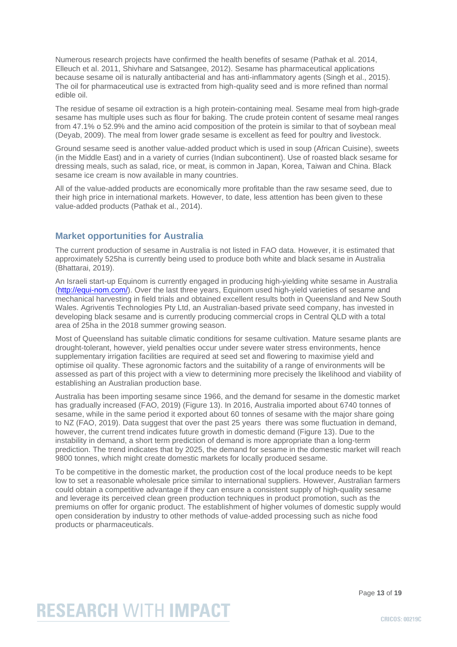Numerous research projects have confirmed the health benefits of sesame (Pathak et al. 2014, Elleuch et al. 2011, Shivhare and Satsangee, 2012). Sesame has pharmaceutical applications because sesame oil is naturally antibacterial and has anti-inflammatory agents (Singh et al., 2015). The oil for pharmaceutical use is extracted from high-quality seed and is more refined than normal edible oil.

The residue of sesame oil extraction is a high protein-containing meal. Sesame meal from high-grade sesame has multiple uses such as flour for baking. The crude protein content of sesame meal ranges from 47.1% o 52.9% and the amino acid composition of the protein is similar to that of soybean meal (Deyab, 2009). The meal from lower grade sesame is excellent as feed for poultry and livestock.

Ground sesame seed is another value-added product which is used in soup (African Cuisine), sweets (in the Middle East) and in a variety of curries (Indian subcontinent). Use of roasted black sesame for dressing meals, such as salad, rice, or meat, is common in Japan, Korea, Taiwan and China. Black sesame ice cream is now available in many countries.

All of the value-added products are economically more profitable than the raw sesame seed, due to their high price in international markets. However, to date, less attention has been given to these value-added products (Pathak et al., 2014).

### **Market opportunities for Australia**

The current production of sesame in Australia is not listed in FAO data. However, it is estimated that approximately 525ha is currently being used to produce both white and black sesame in Australia (Bhattarai, 2019).

An Israeli start-up Equinom is currently engaged in producing high-yielding white sesame in Australia [\(http://equi-nom.com/\)](http://equi-nom.com/). Over the last three years, Equinom used high-yield varieties of sesame and mechanical harvesting in field trials and obtained excellent results both in Queensland and New South Wales. Agriventis Technologies Pty Ltd, an Australian-based private seed company, has invested in developing black sesame and is currently producing commercial crops in Central QLD with a total area of 25ha in the 2018 summer growing season.

Most of Queensland has suitable climatic conditions for sesame cultivation. Mature sesame plants are drought-tolerant, however, yield penalties occur under severe water stress environments, hence supplementary irrigation facilities are required at seed set and flowering to maximise yield and optimise oil quality. These agronomic factors and the suitability of a range of environments will be assessed as part of this project with a view to determining more precisely the likelihood and viability of establishing an Australian production base.

Australia has been importing sesame since 1966, and the demand for sesame in the domestic market has gradually increased (FAO, 2019) (Figure 13). In 2016, Australia imported about 6740 tonnes of sesame, while in the same period it exported about 60 tonnes of sesame with the major share going to NZ (FAO, 2019). Data suggest that over the past 25 years there was some fluctuation in demand, however, the current trend indicates future growth in domestic demand (Figure 13). Due to the instability in demand, a short term prediction of demand is more appropriate than a long-term prediction. The trend indicates that by 2025, the demand for sesame in the domestic market will reach 9800 tonnes, which might create domestic markets for locally produced sesame.

To be competitive in the domestic market, the production cost of the local produce needs to be kept low to set a reasonable wholesale price similar to international suppliers. However, Australian farmers could obtain a competitive advantage if they can ensure a consistent supply of high-quality sesame and leverage its perceived clean green production techniques in product promotion, such as the premiums on offer for organic product. The establishment of higher volumes of domestic supply would open consideration by industry to other methods of value-added processing such as niche food products or pharmaceuticals.

Page **13** of **19**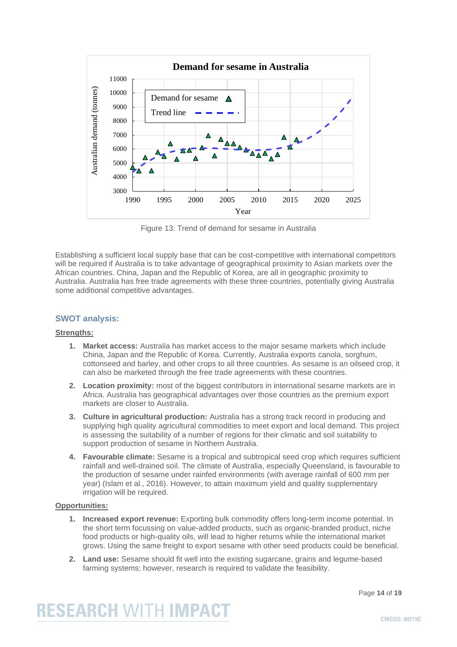

Figure 13: Trend of demand for sesame in Australia

Establishing a sufficient local supply base that can be cost-competitive with international competitors will be required if Australia is to take advantage of geographical proximity to Asian markets over the African countries. China, Japan and the Republic of Korea, are all in geographic proximity to Australia. Australia has free trade agreements with these three countries, potentially giving Australia some additional competitive advantages.

### **SWOT analysis:**

#### **Strengths:**

- **1. Market access:** Australia has market access to the major sesame markets which include China, Japan and the Republic of Korea. Currently, Australia exports canola, sorghum, cottonseed and barley, and other crops to all three countries. As sesame is an oilseed crop, it can also be marketed through the free trade agreements with these countries.
- **2. Location proximity:** most of the biggest contributors in international sesame markets are in Africa. Australia has geographical advantages over those countries as the premium export markets are closer to Australia.
- **3. Culture in agricultural production:** Australia has a strong track record in producing and supplying high quality agricultural commodities to meet export and local demand. This project is assessing the suitability of a number of regions for their climatic and soil suitability to support production of sesame in Northern Australia.
- **4. Favourable climate:** Sesame is a tropical and subtropical seed crop which requires sufficient rainfall and well-drained soil. The climate of Australia, especially Queensland, is favourable to the production of sesame under rainfed environments (with average rainfall of 600 mm per year) (Islam et al., 2016). However, to attain maximum yield and quality supplementary irrigation will be required.

#### **Opportunities:**

- **1. Increased export revenue:** Exporting bulk commodity offers long-term income potential. In the short term focussing on value-added products, such as organic-branded product, niche food products or high-quality oils, will lead to higher returns while the international market grows. Using the same freight to export sesame with other seed products could be beneficial.
- **2. Land use:** Sesame should fit well into the existing sugarcane, grains and legume-based farming systems; however, research is required to validate the feasibility.

Page **14** of **19**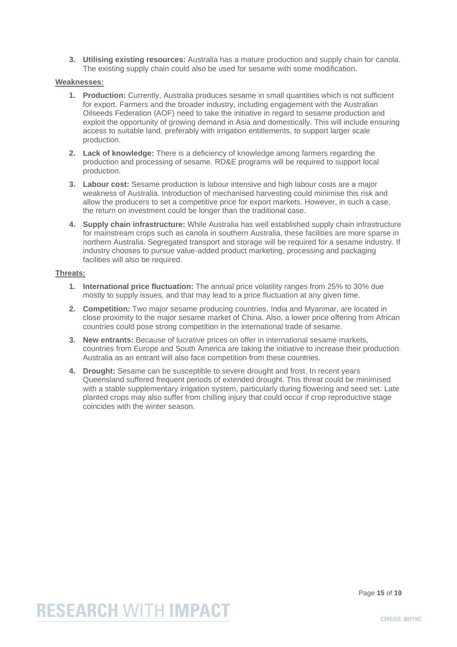**3. Utilising existing resources:** Australia has a mature production and supply chain for canola. The existing supply chain could also be used for sesame with some modification.

#### **Weaknesses:**

- **1. Production:** Currently, Australia produces sesame in small quantities which is not sufficient for export. Farmers and the broader industry, including engagement with the Australian Oilseeds Federation (AOF) need to take the initiative in regard to sesame production and exploit the opportunity of growing demand in Asia and domestically. This will include ensuring access to suitable land, preferably with irrigation entitlements, to support larger scale production.
- **2. Lack of knowledge:** There is a deficiency of knowledge among farmers regarding the production and processing of sesame. RD&E programs will be required to support local production.
- **3. Labour cost:** Sesame production is labour intensive and high labour costs are a major weakness of Australia. Introduction of mechanised harvesting could minimise this risk and allow the producers to set a competitive price for export markets. However, in such a case, the return on investment could be longer than the traditional case.
- **4. Supply chain infrastructure:** While Australia has well established supply chain infrastructure for mainstream crops such as canola in southern Australia, these facilities are more sparse in northern Australia. Segregated transport and storage will be required for a sesame industry. If industry chooses to pursue value-added product marketing, processing and packaging facilities will also be required.

#### **Threats:**

- **1. International price fluctuation:** The annual price volatility ranges from 25% to 30% due mostly to supply issues, and that may lead to a price fluctuation at any given time.
- **2. Competition:** Two major sesame producing countries, India and Myanmar, are located in close proximity to the major sesame market of China. Also, a lower price offering from African countries could pose strong competition in the international trade of sesame.
- **3. New entrants:** Because of lucrative prices on offer in international sesame markets, countries from Europe and South America are taking the initiative to increase their production. Australia as an entrant will also face competition from these countries.
- **4. Drought:** Sesame can be susceptible to severe drought and frost. In recent years Queensland suffered frequent periods of extended drought. This threat could be minimised with a stable supplementary irrigation system, particularly during flowering and seed set. Late planted crops may also suffer from chilling injury that could occur if crop reproductive stage coincides with the winter season.

Page **15** of **19**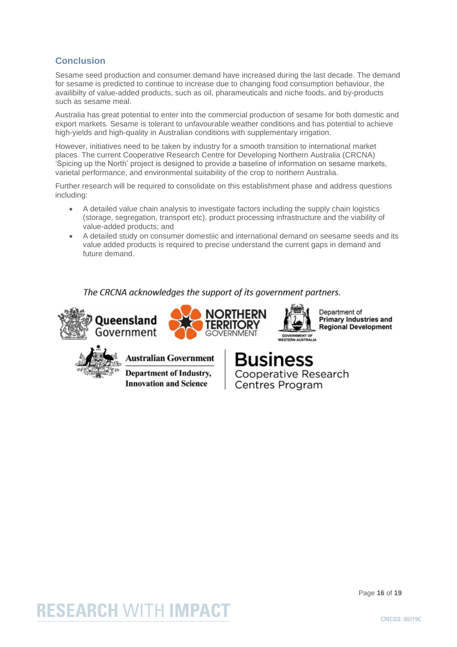### **Conclusion**

Sesame seed production and consumer demand have increased during the last decade. The demand for sesame is predicted to continue to increase due to changing food consumption behaviour, the availibilty of value-added products, such as oil, pharameuticals and niche foods, and by-products such as sesame meal.

Australia has great potential to enter into the commercial production of sesame for both domestic and export markets. Sesame is tolerant to unfavourable weather conditions and has potential to achieve high-yields and high-quality in Australian conditions with supplementary irrigation.

However, initiatives need to be taken by industry for a smooth transition to international market places. The current Cooperative Research Centre for Developing Northern Australia (CRCNA) 'Spicing up the North' project is designed to provide a baseline of information on sesame markets, varietal performance, and environmental suitability of the crop to northern Australia.

Further research will be required to consolidate on this establishment phase and address questions including:

- A detailed value chain analysis to investigate factors including the supply chain logistics (storage, segregation, transport etc), product processing infrastructure and the viability of value-added products; and
- A detailed study on consumer domestiic and international demand on seesame seeds and its value added products is required to precise understand the current gaps in demand and future demand.

The CRCNA acknowledges the support of its government partners.







Department of **Primary Industries and Regional Development** 



Australian Government

**Department of Industry, Innovation and Science** 



Cooperative Research Centres Program

#### Page **16** of **19**

## **RESEARCH WITH IMPACT**

**CRICOS: 00219C**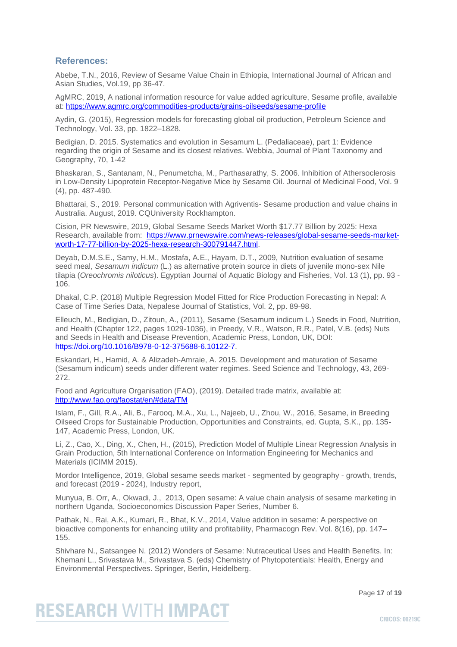### **References:**

Abebe, T.N., 2016, Review of Sesame Value Chain in Ethiopia, International Journal of African and Asian Studies, Vol.19, pp 36-47.

AgMRC, 2019, A national information resource for value added agriculture, Sesame profile, available at:<https://www.agmrc.org/commodities-products/grains-oilseeds/sesame-profile>

Aydin, G. (2015), Regression models for forecasting global oil production, Petroleum Science and Technology, Vol. 33, pp. 1822–1828.

Bedigian, D. 2015. Systematics and evolution in Sesamum L. (Pedaliaceae), part 1: Evidence regarding the origin of Sesame and its closest relatives. Webbia, Journal of Plant Taxonomy and Geography, 70, 1-42

Bhaskaran, S., Santanam, N., Penumetcha, M., Parthasarathy, S. 2006. Inhibition of Athersoclerosis in Low-Density Lipoprotein Receptor-Negative Mice by Sesame Oil. Journal of Medicinal Food, Vol. 9 (4), pp. 487-490.

Bhattarai, S., 2019. Personal communication with Agriventis- Sesame production and value chains in Australia. August, 2019. CQUniversity Rockhampton.

Cision, PR Newswire, 2019, Global Sesame Seeds Market Worth \$17.77 Billion by 2025: Hexa Research, available from: [https://www.prnewswire.com/news-releases/global-sesame-seeds-market](https://www.prnewswire.com/news-releases/global-sesame-seeds-market-worth-17-77-billion-by-2025-hexa-research-300791447.html)[worth-17-77-billion-by-2025-hexa-research-300791447.html.](https://www.prnewswire.com/news-releases/global-sesame-seeds-market-worth-17-77-billion-by-2025-hexa-research-300791447.html)

Deyab, D.M.S.E., Samy, H.M., Mostafa, A.E., Hayam, D.T., 2009, Nutrition evaluation of sesame seed meal, *Sesamum indicum* (L.) as alternative protein source in diets of juvenile mono-sex Nile tilapia (*Oreochromis niloticus*). Egyptian Journal of Aquatic Biology and Fisheries, Vol. 13 (1), pp. 93 - 106.

Dhakal, C.P. (2018) Multiple Regression Model Fitted for Rice Production Forecasting in Nepal: A Case of Time Series Data, Nepalese Journal of Statistics, Vol. 2, pp. 89-98.

Elleuch, M., Bedigian, D., Zitoun, A., (2011), Sesame (Sesamum indicum L.) Seeds in Food, Nutrition, and Health (Chapter 122, pages 1029-1036), in Preedy, V.R., Watson, R.R., Patel, V.B. (eds) Nuts and Seeds in Health and Disease Prevention, Academic Press, London, UK, DOI: [https://doi.org/10.1016/B978-0-12-375688-6.10122-7.](https://doi.org/10.1016/B978-0-12-375688-6.10122-7)

Eskandari, H., Hamid, A. & Alizadeh-Amraie, A. 2015. Development and maturation of Sesame (Sesamum indicum) seeds under different water regimes. Seed Science and Technology, 43, 269- 272.

Food and Agriculture Organisation (FAO), (2019). Detailed trade matrix, available at: <http://www.fao.org/faostat/en/#data/TM>

Islam, F., Gill, R.A., Ali, B., Farooq, M.A., Xu, L., Najeeb, U., Zhou, W., 2016, Sesame, in Breeding Oilseed Crops for Sustainable Production, Opportunities and Constraints, ed. Gupta, S.K., pp. 135- 147, Academic Press, London, UK.

Li, Z., Cao, X., Ding, X., Chen, H., (2015), Prediction Model of Multiple Linear Regression Analysis in Grain Production, 5th International Conference on Information Engineering for Mechanics and Materials (ICIMM 2015).

Mordor Intelligence, 2019, Global sesame seeds market - segmented by geography - growth, trends, and forecast (2019 - 2024), Industry report,

Munyua, B. Orr, A., Okwadi, J., 2013, Open sesame: A value chain analysis of sesame marketing in northern Uganda, Socioeconomics Discussion Paper Series, Number 6.

Pathak, N., Rai, A.K., Kumari, R., Bhat, K.V., 2014, Value addition in sesame: A perspective on bioactive components for enhancing utility and profitability, Pharmacogn Rev. Vol. 8(16), pp. 147– 155.

Shivhare N., Satsangee N. (2012) Wonders of Sesame: Nutraceutical Uses and Health Benefits. In: Khemani L., Srivastava M., Srivastava S. (eds) Chemistry of Phytopotentials: Health, Energy and Environmental Perspectives. Springer, Berlin, Heidelberg.

Page **17** of **19**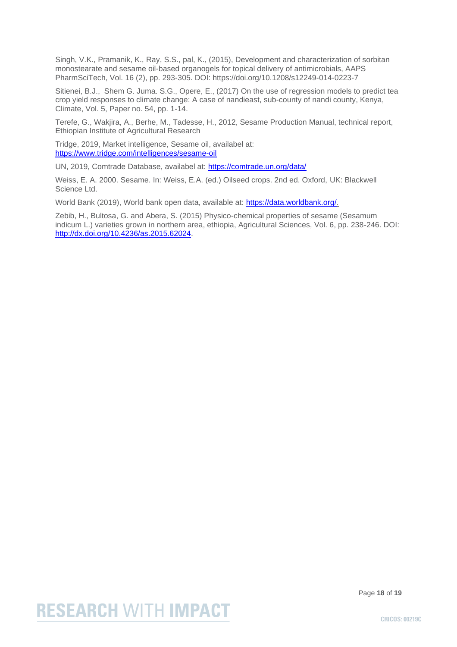Singh, V.K., Pramanik, K., Ray, S.S., pal, K., (2015), Development and characterization of sorbitan monostearate and sesame oil-based organogels for topical delivery of antimicrobials, AAPS PharmSciTech, Vol. 16 (2), pp. 293-305. DOI: https://doi.org/10.1208/s12249-014-0223-7

Sitienei, B.J., Shem G. Juma. S.G., Opere, E., (2017) On the use of regression models to predict tea crop yield responses to climate change: A case of nandieast, sub-county of nandi county, Kenya, Climate, Vol. 5, Paper no. 54, pp. 1-14.

Terefe, G., Wakjira, A., Berhe, M., Tadesse, H., 2012, Sesame Production Manual, technical report, Ethiopian Institute of Agricultural Research

Tridge, 2019, Market intelligence, Sesame oil, availabel at: <https://www.tridge.com/intelligences/sesame-oil>

UN, 2019, Comtrade Database, availabel at:<https://comtrade.un.org/data/>

Weiss, E. A. 2000. Sesame. In: Weiss, E.A. (ed.) Oilseed crops. 2nd ed. Oxford, UK: Blackwell Science Ltd.

World Bank (2019), World bank open data, available at: [https://data.worldbank.org/.](https://data.worldbank.org/)

Zebib, H., Bultosa, G. and Abera, S. (2015) Physico-chemical properties of sesame (Sesamum indicum L.) varieties grown in northern area, ethiopia, Agricultural Sciences, Vol. 6, pp. 238-246. DOI: [http://dx.doi.org/10.4236/as.2015.62024.](http://dx.doi.org/10.4236/as.2015.62024)

Page **18** of **19**